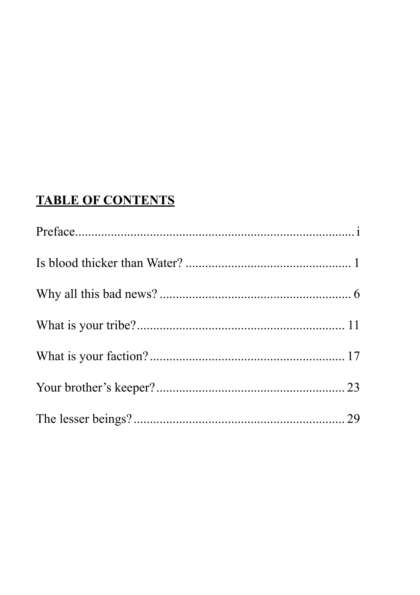# **TABLE OF CONTENTS**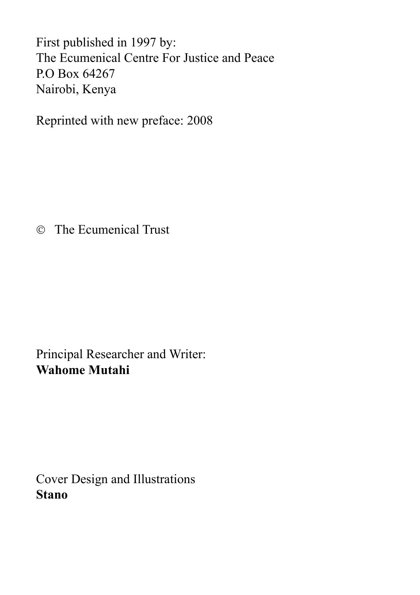First published in 1997 by: The Ecumenical Centre For Justice and Peace P.O Box 64267 Nairobi, Kenya

Reprinted with new preface: 2008

The Ecumenical Trust

Principal Researcher and Writer: **Wahome Mutahi**

Cover Design and Illustrations **Stano**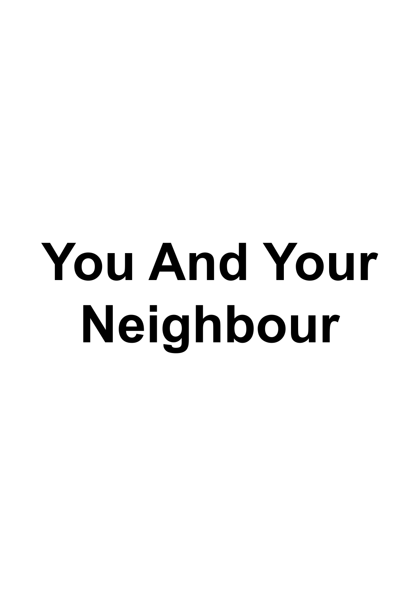# **You And Your Neighbour**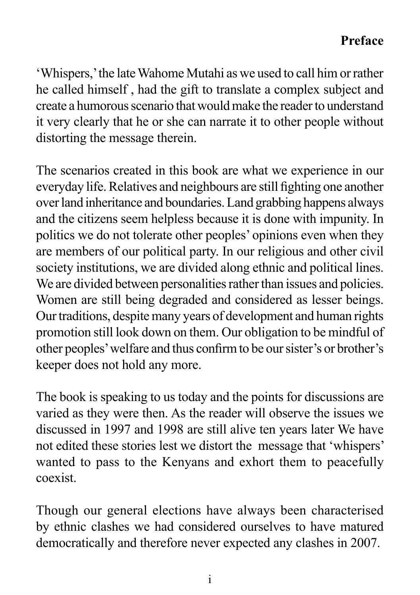#### **Preface**

'Whispers,' the late Wahome Mutahi as we used to call him or rather he called himself , had the gift to translate a complex subject and create a humorous scenario that would make the reader to understand it very clearly that he or she can narrate it to other people without distorting the message therein.

The scenarios created in this book are what we experience in our everyday life. Relatives and neighbours are still fighting one another over land inheritance and boundaries. Land grabbing happens always and the citizens seem helpless because it is done with impunity. In politics we do not tolerate other peoples' opinions even when they are members of our political party. In our religious and other civil society institutions, we are divided along ethnic and political lines. We are divided between personalities rather than issues and policies. Women are still being degraded and considered as lesser beings. Our traditions, despite many years of development and human rights promotion still look down on them. Our obligation to be mindful of other peoples' welfare and thus confirm to be our sister's or brother's keeper does not hold any more.

The book is speaking to us today and the points for discussions are varied as they were then. As the reader will observe the issues we discussed in 1997 and 1998 are still alive ten years later We have not edited these stories lest we distort the message that 'whispers' wanted to pass to the Kenyans and exhort them to peacefully coexist.

Though our general elections have always been characterised by ethnic clashes we had considered ourselves to have matured democratically and therefore never expected any clashes in 2007.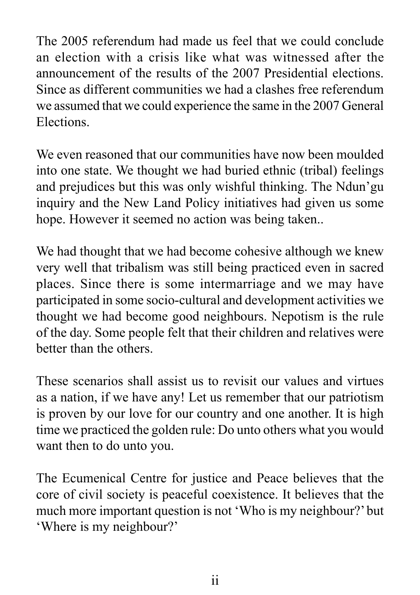The 2005 referendum had made us feel that we could conclude an election with a crisis like what was witnessed after the announcement of the results of the 2007 Presidential elections. Since as different communities we had a clashes free referendum we assumed that we could experience the same in the 2007 General Elections.

We even reasoned that our communities have now been moulded into one state. We thought we had buried ethnic (tribal) feelings and prejudices but this was only wishful thinking. The Ndun'gu inquiry and the New Land Policy initiatives had given us some hope. However it seemed no action was being taken..

We had thought that we had become cohesive although we knew very well that tribalism was still being practiced even in sacred places. Since there is some intermarriage and we may have participated in some socio-cultural and development activities we thought we had become good neighbours. Nepotism is the rule of the day. Some people felt that their children and relatives were better than the others.

These scenarios shall assist us to revisit our values and virtues as a nation, if we have any! Let us remember that our patriotism is proven by our love for our country and one another. It is high time we practiced the golden rule: Do unto others what you would want then to do unto you.

The Ecumenical Centre for justice and Peace believes that the core of civil society is peaceful coexistence. It believes that the much more important question is not 'Who is my neighbour?' but 'Where is my neighbour?'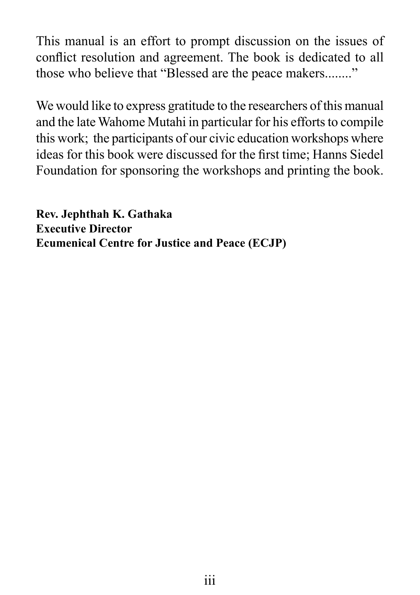This manual is an effort to prompt discussion on the issues of conflict resolution and agreement. The book is dedicated to all those who believe that "Blessed are the peace makers........"

We would like to express gratitude to the researchers of this manual and the late Wahome Mutahi in particular for his efforts to compile this work; the participants of our civic education workshops where ideas for this book were discussed for the first time; Hanns Siedel Foundation for sponsoring the workshops and printing the book.

**Rev. Jephthah K. Gathaka Executive Director Ecumenical Centre for Justice and Peace (ECJP)**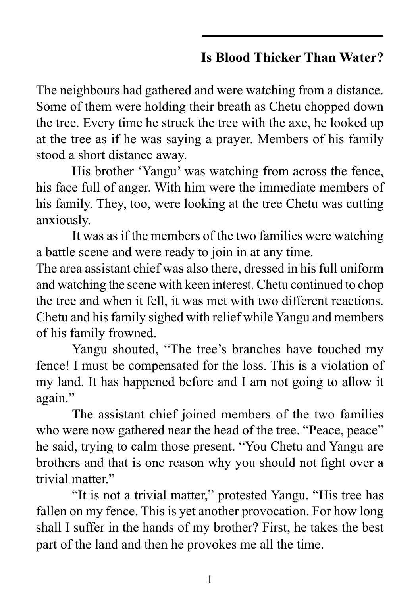# **Is Blood Thicker Than Water?**

The neighbours had gathered and were watching from a distance. Some of them were holding their breath as Chetu chopped down the tree. Every time he struck the tree with the axe, he looked up at the tree as if he was saying a prayer. Members of his family stood a short distance away.

His brother 'Yangu' was watching from across the fence, his face full of anger. With him were the immediate members of his family. They, too, were looking at the tree Chetu was cutting anxiously.

It was as if the members of the two families were watching a battle scene and were ready to join in at any time.

The area assistant chief was also there, dressed in his full uniform and watching the scene with keen interest. Chetu continued to chop the tree and when it fell, it was met with two different reactions. Chetu and his family sighed with relief while Yangu and members of his family frowned.

Yangu shouted, "The tree's branches have touched my fence! I must be compensated for the loss. This is a violation of my land. It has happened before and I am not going to allow it again."

The assistant chief joined members of the two families who were now gathered near the head of the tree. "Peace, peace" he said, trying to calm those present. "You Chetu and Yangu are brothers and that is one reason why you should not fight over a trivial matter."

"It is not a trivial matter," protested Yangu. "His tree has fallen on my fence. This is yet another provocation. For how long shall I suffer in the hands of my brother? First, he takes the best part of the land and then he provokes me all the time.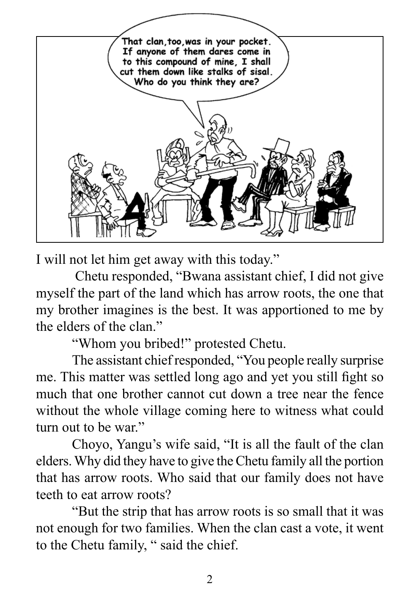

I will not let him get away with this today."

 Chetu responded, "Bwana assistant chief, I did not give myself the part of the land which has arrow roots, the one that my brother imagines is the best. It was apportioned to me by the elders of the clan."

"Whom you bribed!" protested Chetu.

The assistant chief responded, "You people really surprise me. This matter was settled long ago and yet you still fight so much that one brother cannot cut down a tree near the fence without the whole village coming here to witness what could turn out to be war."

Choyo, Yangu's wife said, "It is all the fault of the clan elders. Why did they have to give the Chetu family all the portion that has arrow roots. Who said that our family does not have teeth to eat arrow roots?

"But the strip that has arrow roots is so small that it was not enough for two families. When the clan cast a vote, it went to the Chetu family, " said the chief.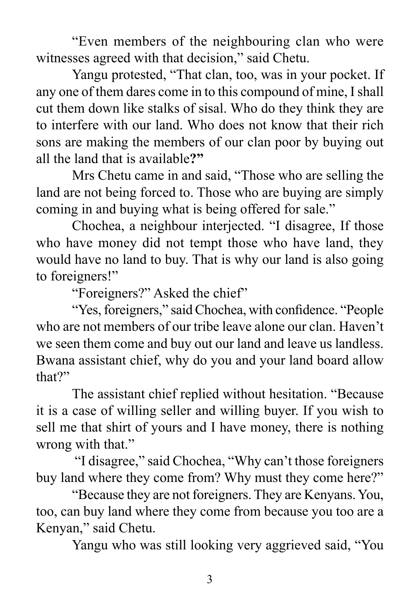"Even members of the neighbouring clan who were witnesses agreed with that decision," said Chetu.

Yangu protested, "That clan, too, was in your pocket. If any one of them dares come in to this compound of mine, I shall cut them down like stalks of sisal. Who do they think they are to interfere with our land. Who does not know that their rich sons are making the members of our clan poor by buying out all the land that is available**?"** 

Mrs Chetu came in and said, "Those who are selling the land are not being forced to. Those who are buying are simply coming in and buying what is being offered for sale."

Chochea, a neighbour interjected. "I disagree, If those who have money did not tempt those who have land, they would have no land to buy. That is why our land is also going to foreigners!"

"Foreigners?" Asked the chief"

"Yes, foreigners," said Chochea, with confidence. "People who are not members of our tribe leave alone our clan. Haven't we seen them come and buy out our land and leave us landless. Bwana assistant chief, why do you and your land board allow that?"

The assistant chief replied without hesitation. "Because it is a case of willing seller and willing buyer. If you wish to sell me that shirt of yours and I have money, there is nothing wrong with that."

 "I disagree," said Chochea, "Why can't those foreigners buy land where they come from? Why must they come here?"

"Because they are not foreigners. They are Kenyans. You, too, can buy land where they come from because you too are a Kenyan," said Chetu.

Yangu who was still looking very aggrieved said, "You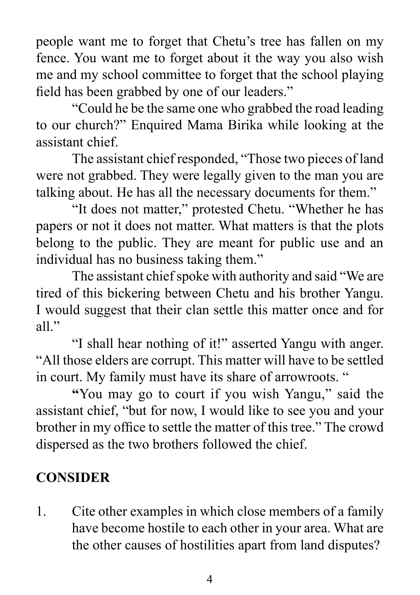people want me to forget that Chetu's tree has fallen on my fence. You want me to forget about it the way you also wish me and my school committee to forget that the school playing field has been grabbed by one of our leaders."

"Could he be the same one who grabbed the road leading to our church?" Enquired Mama Birika while looking at the assistant chief.

The assistant chief responded, "Those two pieces of land were not grabbed. They were legally given to the man you are talking about. He has all the necessary documents for them."

"It does not matter," protested Chetu. "Whether he has papers or not it does not matter. What matters is that the plots belong to the public. They are meant for public use and an individual has no business taking them."

The assistant chief spoke with authority and said "We are tired of this bickering between Chetu and his brother Yangu. I would suggest that their clan settle this matter once and for all $"$ 

"I shall hear nothing of it!" asserted Yangu with anger. "All those elders are corrupt. This matter will have to be settled in court. My family must have its share of arrowroots. "

**"**You may go to court if you wish Yangu," said the assistant chief, "but for now, I would like to see you and your brother in my office to settle the matter of this tree." The crowd dispersed as the two brothers followed the chief.

# **CONSIDER**

1. Cite other examples in which close members of a family have become hostile to each other in your area. What are the other causes of hostilities apart from land disputes?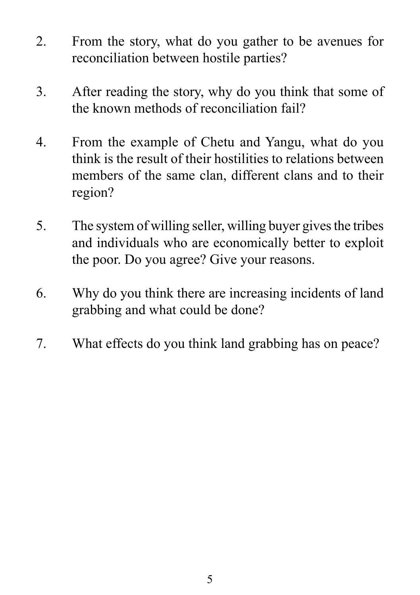- 2. From the story, what do you gather to be avenues for reconciliation between hostile parties?
- 3. After reading the story, why do you think that some of the known methods of reconciliation fail?
- 4. From the example of Chetu and Yangu, what do you think is the result of their hostilities to relations between members of the same clan, different clans and to their region?
- 5. The system of willing seller, willing buyer gives the tribes and individuals who are economically better to exploit the poor. Do you agree? Give your reasons.
- 6. Why do you think there are increasing incidents of land grabbing and what could be done?
- 7. What effects do you think land grabbing has on peace?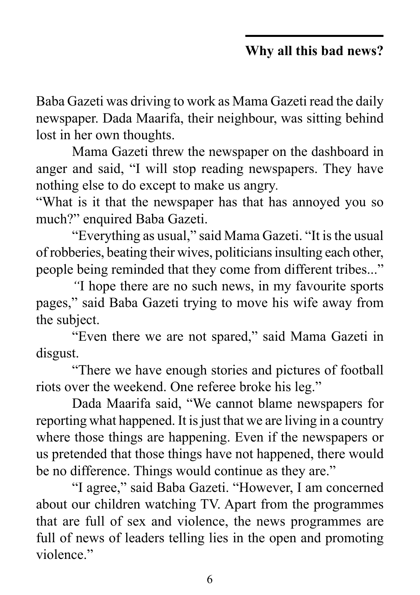### **Why all this bad news?**

Baba Gazeti was driving to work as Mama Gazeti read the daily newspaper. Dada Maarifa, their neighbour, was sitting behind lost in her own thoughts.

Mama Gazeti threw the newspaper on the dashboard in anger and said, "I will stop reading newspapers. They have nothing else to do except to make us angry*.*

"What is it that the newspaper has that has annoyed you so much?" enquired Baba Gazeti.

"Everything as usual," said Mama Gazeti. "It is the usual of robberies, beating their wives, politicians insulting each other, people being reminded that they come from different tribes..."

*"*I hope there are no such news, in my favourite sports pages," said Baba Gazeti trying to move his wife away from the subject.

"Even there we are not spared," said Mama Gazeti in disgust.

"There we have enough stories and pictures of football riots over the weekend. One referee broke his leg."

Dada Maarifa said, "We cannot blame newspapers for reporting what happened. It is just that we are living in a country where those things are happening. Even if the newspapers or us pretended that those things have not happened, there would be no difference. Things would continue as they are."

"I agree," said Baba Gazeti. "However, I am concerned about our children watching TV. Apart from the programmes that are full of sex and violence, the news programmes are full of news of leaders telling lies in the open and promoting violence."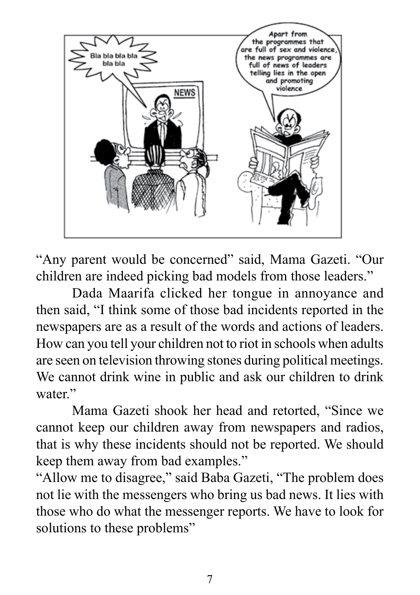

"Any parent would be concerned" said, Mama Gazeti. "Our children are indeed picking bad models from those leaders."

Dada Maarifa clicked her tongue in annoyance and then said, "I think some of those bad incidents reported in the newspapers are as a result of the words and actions of leaders. How can you tell your children not to riot in schools when adults are seen on television throwing stones during political meetings. We cannot drink wine in public and ask our children to drink water."

Mama Gazeti shook her head and retorted, "Since we cannot keep our children away from newspapers and radios, that is why these incidents should not be reported. We should keep them away from bad examples."

"Allow me to disagree," said Baba Gazeti, "The problem does not lie with the messengers who bring us bad news. It lies with those who do what the messenger reports. We have to look for solutions to these problems"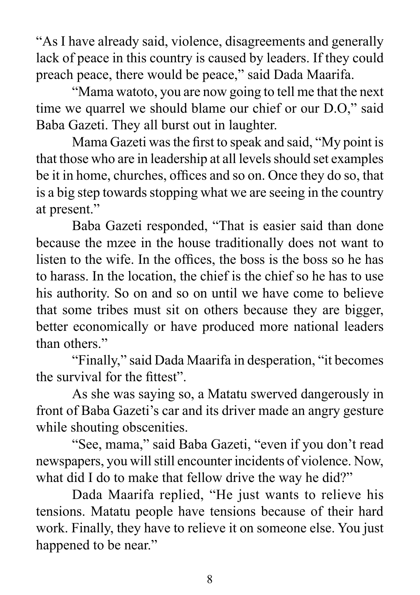"As I have already said, violence, disagreements and generally lack of peace in this country is caused by leaders. If they could preach peace, there would be peace," said Dada Maarifa.

"Mama watoto, you are now going to tell me that the next time we quarrel we should blame our chief or our D.O," said Baba Gazeti. They all burst out in laughter.

Mama Gazeti was the first to speak and said, "My point is that those who are in leadership at all levels should set examples be it in home, churches, offices and so on. Once they do so, that is a big step towards stopping what we are seeing in the country at present."

Baba Gazeti responded, "That is easier said than done because the mzee in the house traditionally does not want to listen to the wife. In the offices, the boss is the boss so he has to harass. In the location, the chief is the chief so he has to use his authority. So on and so on until we have come to believe that some tribes must sit on others because they are bigger, better economically or have produced more national leaders than others."

"Finally," said Dada Maarifa in desperation, "it becomes the survival for the fittest".

As she was saying so, a Matatu swerved dangerously in front of Baba Gazeti's car and its driver made an angry gesture while shouting obscenities.

"See, mama," said Baba Gazeti, "even if you don't read newspapers, you will still encounter incidents of violence. Now, what did I do to make that fellow drive the way he did?"

Dada Maarifa replied, "He just wants to relieve his tensions. Matatu people have tensions because of their hard work. Finally, they have to relieve it on someone else. You just happened to be near."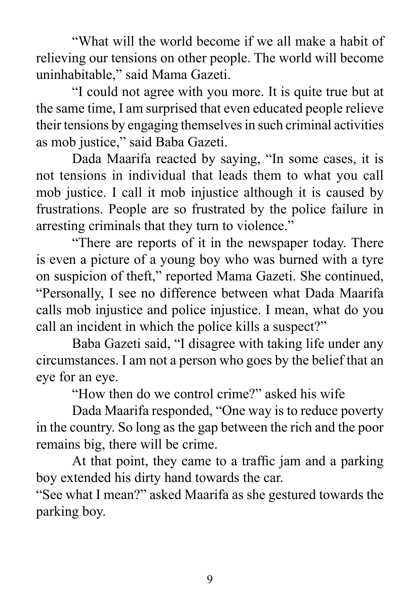"What will the world become if we all make a habit of relieving our tensions on other people. The world will become uninhabitable," said Mama Gazeti.

"I could not agree with you more. It is quite true but at the same time, I am surprised that even educated people relieve their tensions by engaging themselves in such criminal activities as mob justice," said Baba Gazeti.

Dada Maarifa reacted by saying, "In some cases, it is not tensions in individual that leads them to what you call mob justice. I call it mob injustice although it is caused by frustrations. People are so frustrated by the police failure in arresting criminals that they turn to violence."

"There are reports of it in the newspaper today. There is even a picture of a young boy who was burned with a tyre on suspicion of theft," reported Mama Gazeti. She continued, "Personally, I see no difference between what Dada Maarifa calls mob injustice and police injustice. I mean, what do you call an incident in which the police kills a suspect?"

Baba Gazeti said, "I disagree with taking life under any circumstances. I am not a person who goes by the belief that an eye for an eye.

"How then do we control crime?" asked his wife

Dada Maarifa responded, "One way is to reduce poverty in the country. So long as the gap between the rich and the poor remains big, there will be crime.

At that point, they came to a traffic jam and a parking boy extended his dirty hand towards the car.

"See what I mean?" asked Maarifa as she gestured towards the parking boy.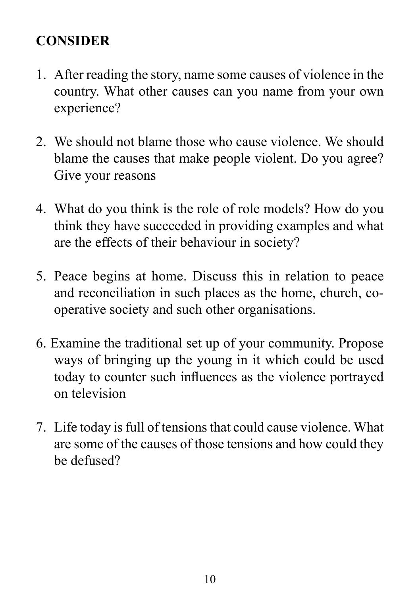# **CONSIDER**

- 1. After reading the story, name some causes of violence in the country. What other causes can you name from your own experience?
- 2. We should not blame those who cause violence. We should blame the causes that make people violent. Do you agree? Give your reasons
- 4. What do you think is the role of role models? How do you think they have succeeded in providing examples and what are the effects of their behaviour in society?
- 5. Peace begins at home. Discuss this in relation to peace and reconciliation in such places as the home, church, cooperative society and such other organisations.
- 6. Examine the traditional set up of your community. Propose ways of bringing up the young in it which could be used today to counter such influences as the violence portrayed on television
- 7. Life today is full of tensions that could cause violence. What are some of the causes of those tensions and how could they be defused?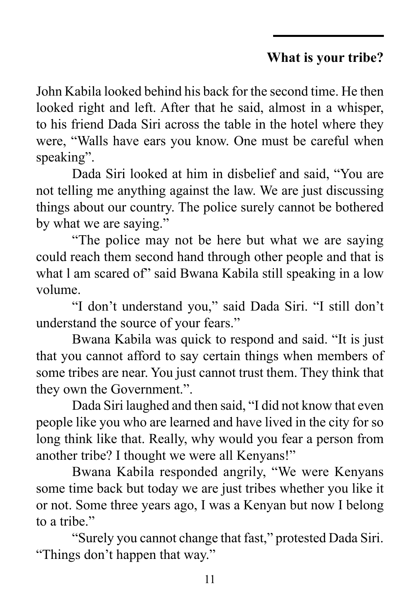## **What is your tribe?**

John Kabila looked behind his back for the second time. He then looked right and left. After that he said, almost in a whisper, to his friend Dada Siri across the table in the hotel where they were, "Walls have ears you know. One must be careful when speaking".

Dada Siri looked at him in disbelief and said, "You are not telling me anything against the law. We are just discussing things about our country. The police surely cannot be bothered by what we are saying."

"The police may not be here but what we are saying could reach them second hand through other people and that is what l am scared of" said Bwana Kabila still speaking in a low volume.

"I don't understand you," said Dada Siri. "I still don't understand the source of your fears."

Bwana Kabila was quick to respond and said. "It is just that you cannot afford to say certain things when members of some tribes are near. You just cannot trust them. They think that they own the Government.".

Dada Siri laughed and then said, "I did not know that even people like you who are learned and have lived in the city for so long think like that. Really, why would you fear a person from another tribe? I thought we were all Kenyans!"

Bwana Kabila responded angrily, "We were Kenyans some time back but today we are just tribes whether you like it or not. Some three years ago, I was a Kenyan but now I belong to a tribe."

"Surely you cannot change that fast," protested Dada Siri. "Things don't happen that way."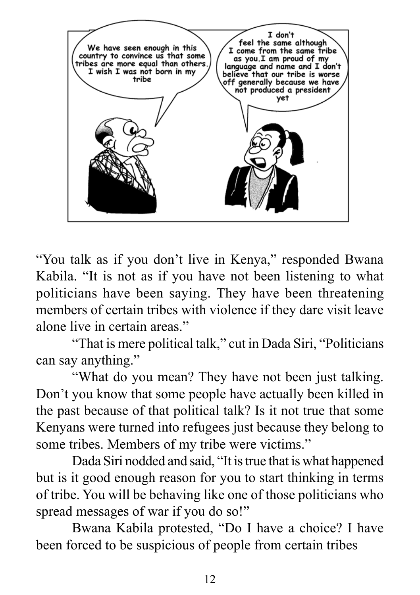

"You talk as if you don't live in Kenya," responded Bwana Kabila. "It is not as if you have not been listening to what politicians have been saying. They have been threatening members of certain tribes with violence if they dare visit leave alone live in certain areas."

"That is mere political talk," cut in Dada Siri, "Politicians can say anything."

"What do you mean? They have not been just talking. Don't you know that some people have actually been killed in the past because of that political talk? Is it not true that some Kenyans were turned into refugees just because they belong to some tribes. Members of my tribe were victims."

Dada Siri nodded and said, "It is true that is what happened but is it good enough reason for you to start thinking in terms of tribe. You will be behaving like one of those politicians who spread messages of war if you do so!"

Bwana Kabila protested, "Do I have a choice? I have been forced to be suspicious of people from certain tribes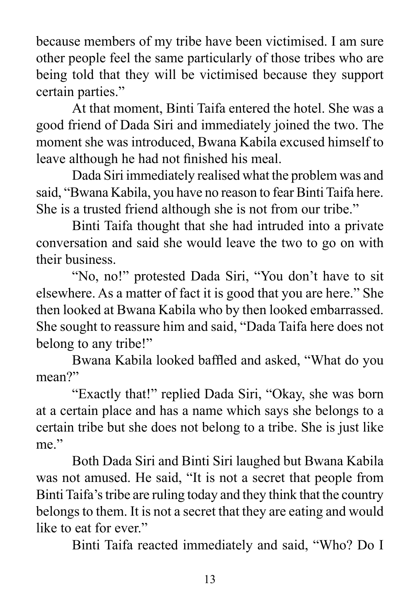because members of my tribe have been victimised. I am sure other people feel the same particularly of those tribes who are being told that they will be victimised because they support certain parties."

At that moment, Binti Taifa entered the hotel. She was a good friend of Dada Siri and immediately joined the two. The moment she was introduced, Bwana Kabila excused himself to leave although he had not finished his meal.

Dada Siri immediately realised what the problem was and said, "Bwana Kabila, you have no reason to fear Binti Taifa here. She is a trusted friend although she is not from our tribe."

Binti Taifa thought that she had intruded into a private conversation and said she would leave the two to go on with their business.

"No, no!" protested Dada Siri, "You don't have to sit elsewhere. As a matter of fact it is good that you are here." She then looked at Bwana Kabila who by then looked embarrassed. She sought to reassure him and said, "Dada Taifa here does not belong to any tribe!"

Bwana Kabila looked baffled and asked, "What do you mean?"

"Exactly that!" replied Dada Siri, "Okay, she was born at a certain place and has a name which says she belongs to a certain tribe but she does not belong to a tribe. She is just like me."

Both Dada Siri and Binti Siri laughed but Bwana Kabila was not amused. He said, "It is not a secret that people from Binti Taifa's tribe are ruling today and they think that the country belongs to them. It is not a secret that they are eating and would like to eat for ever."

Binti Taifa reacted immediately and said, "Who? Do I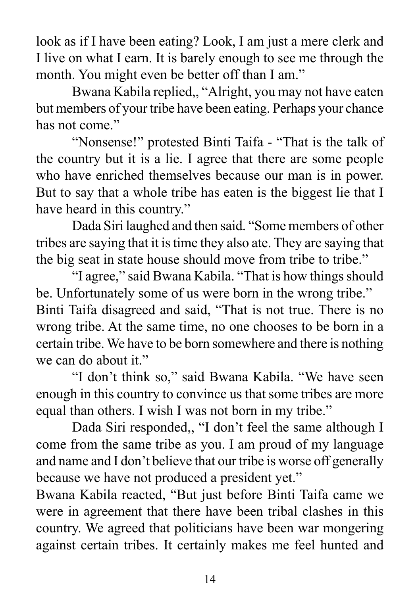look as if I have been eating? Look, I am just a mere clerk and I live on what I earn. It is barely enough to see me through the month. You might even be better off than I am."

Bwana Kabila replied,, "Alright, you may not have eaten but members of your tribe have been eating. Perhaps your chance has not come"

"Nonsense!" protested Binti Taifa - "That is the talk of the country but it is a lie. I agree that there are some people who have enriched themselves because our man is in power. But to say that a whole tribe has eaten is the biggest lie that I have heard in this country."

Dada Siri laughed and then said. "Some members of other tribes are saying that it is time they also ate. They are saying that the big seat in state house should move from tribe to tribe."

"I agree," said Bwana Kabila. "That is how things should be. Unfortunately some of us were born in the wrong tribe." Binti Taifa disagreed and said, "That is not true. There is no wrong tribe. At the same time, no one chooses to be born in a certain tribe. We have to be born somewhere and there is nothing we can do about it."

"I don't think so," said Bwana Kabila. "We have seen enough in this country to convince us that some tribes are more equal than others. I wish I was not born in my tribe."

Dada Siri responded,, "I don't feel the same although I come from the same tribe as you. I am proud of my language and name and I don't believe that our tribe is worse off generally because we have not produced a president yet."

Bwana Kabila reacted, "But just before Binti Taifa came we were in agreement that there have been tribal clashes in this country. We agreed that politicians have been war mongering against certain tribes. It certainly makes me feel hunted and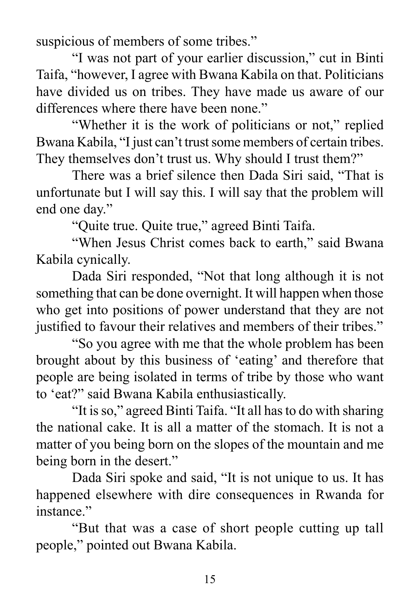suspicious of members of some tribes."

"I was not part of your earlier discussion," cut in Binti Taifa, "however, I agree with Bwana Kabila on that. Politicians have divided us on tribes. They have made us aware of our differences where there have been none."

"Whether it is the work of politicians or not," replied Bwana Kabila, "I just can't trust some members of certain tribes. They themselves don't trust us. Why should I trust them?"

There was a brief silence then Dada Siri said, "That is unfortunate but I will say this. I will say that the problem will end one day."

"Quite true. Quite true," agreed Binti Taifa.

"When Jesus Christ comes back to earth," said Bwana Kabila cynically.

Dada Siri responded, "Not that long although it is not something that can be done overnight. It will happen when those who get into positions of power understand that they are not justified to favour their relatives and members of their tribes."

"So you agree with me that the whole problem has been brought about by this business of 'eating' and therefore that people are being isolated in terms of tribe by those who want to 'eat?" said Bwana Kabila enthusiastically.

"It is so," agreed Binti Taifa. "It all has to do with sharing the national cake. It is all a matter of the stomach. It is not a matter of you being born on the slopes of the mountain and me being born in the desert."

Dada Siri spoke and said, "It is not unique to us. It has happened elsewhere with dire consequences in Rwanda for instance"

"But that was a case of short people cutting up tall people," pointed out Bwana Kabila.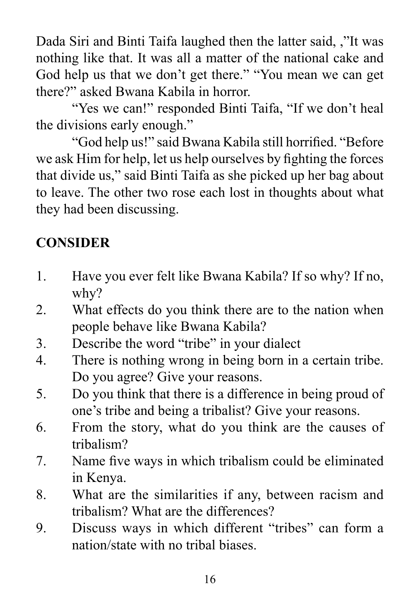Dada Siri and Binti Taifa laughed then the latter said, ,"It was nothing like that. It was all a matter of the national cake and God help us that we don't get there." "You mean we can get there?" asked Bwana Kabila in horror.

"Yes we can!" responded Binti Taifa, "If we don't heal the divisions early enough."

"God help us!" said Bwana Kabila still horrified. "Before we ask Him for help, let us help ourselves by fighting the forces that divide us," said Binti Taifa as she picked up her bag about to leave. The other two rose each lost in thoughts about what they had been discussing.

# **CONSIDER**

- 1. Have you ever felt like Bwana Kabila? If so why? If no, why?
- 2. What effects do you think there are to the nation when people behave like Bwana Kabila?
- 3. Describe the word "tribe" in your dialect
- 4. There is nothing wrong in being born in a certain tribe. Do you agree? Give your reasons.
- 5. Do you think that there is a difference in being proud of one's tribe and being a tribalist? Give your reasons.
- 6. From the story, what do you think are the causes of tribalism?
- 7. Name five ways in which tribalism could be eliminated in Kenya.
- 8. What are the similarities if any, between racism and tribalism? What are the differences?
- 9. Discuss ways in which different "tribes" can form a nation/state with no tribal biases.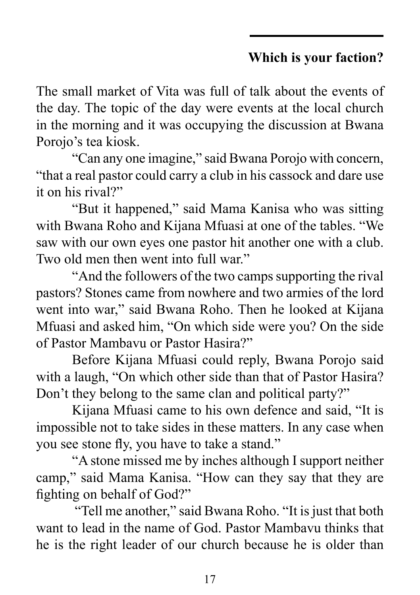# **Which is your faction?**

The small market of Vita was full of talk about the events of the day. The topic of the day were events at the local church in the morning and it was occupying the discussion at Bwana Porojo's tea kiosk.

"Can any one imagine," said Bwana Porojo with concern, "that a real pastor could carry a club in his cassock and dare use it on his rival?"

"But it happened," said Mama Kanisa who was sitting with Bwana Roho and Kijana Mfuasi at one of the tables. "We saw with our own eyes one pastor hit another one with a club. Two old men then went into full war."

"And the followers of the two camps supporting the rival pastors? Stones came from nowhere and two armies of the lord went into war," said Bwana Roho. Then he looked at Kijana Mfuasi and asked him, "On which side were you? On the side of Pastor Mambavu or Pastor Hasira?"

Before Kijana Mfuasi could reply, Bwana Porojo said with a laugh, "On which other side than that of Pastor Hasira? Don't they belong to the same clan and political party?"

Kijana Mfuasi came to his own defence and said, "It is impossible not to take sides in these matters. In any case when you see stone fly, you have to take a stand."

"A stone missed me by inches although I support neither camp," said Mama Kanisa. "How can they say that they are fighting on behalf of God?"

 "Tell me another," said Bwana Roho. "It is just that both want to lead in the name of God. Pastor Mambavu thinks that he is the right leader of our church because he is older than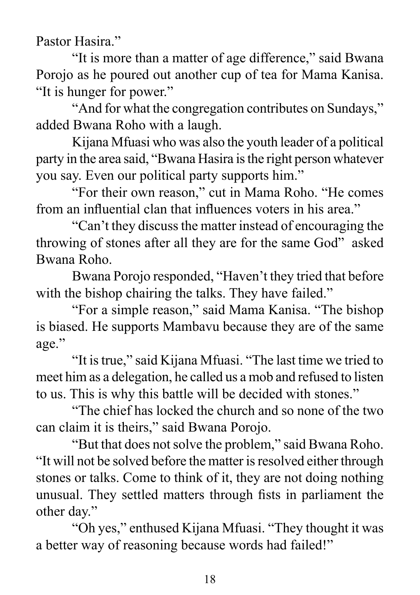Pastor Hasira"

"It is more than a matter of age difference," said Bwana Porojo as he poured out another cup of tea for Mama Kanisa. "It is hunger for power."

"And for what the congregation contributes on Sundays," added Bwana Roho with a laugh.

Kijana Mfuasi who was also the youth leader of a political party in the area said, "Bwana Hasira is the right person whatever you say. Even our political party supports him."

"For their own reason," cut in Mama Roho. "He comes from an influential clan that influences voters in his area."

"Can't they discuss the matter instead of encouraging the throwing of stones after all they are for the same God" asked Bwana Roho.

Bwana Porojo responded, "Haven't they tried that before with the bishop chairing the talks. They have failed."

"For a simple reason," said Mama Kanisa. "The bishop is biased. He supports Mambavu because they are of the same age."

"It is true," said Kijana Mfuasi. "The last time we tried to meet him as a delegation, he called us a mob and refused to listen to us. This is why this battle will be decided with stones."

"The chief has locked the church and so none of the two can claim it is theirs," said Bwana Porojo.

"But that does not solve the problem," said Bwana Roho. "It will not be solved before the matter is resolved either through stones or talks. Come to think of it, they are not doing nothing unusual. They settled matters through fists in parliament the other day."

"Oh yes," enthused Kijana Mfuasi. "They thought it was a better way of reasoning because words had failed!"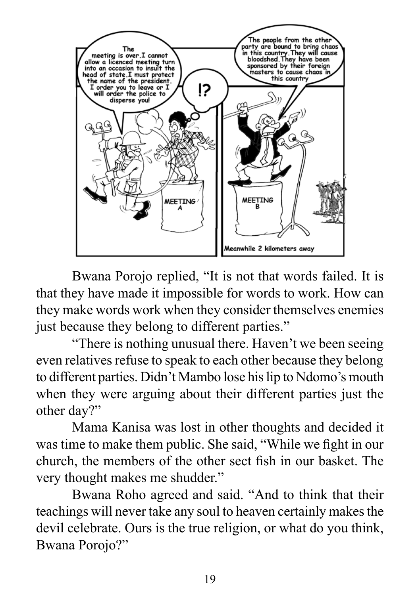

Bwana Porojo replied, "It is not that words failed. It is that they have made it impossible for words to work. How can they make words work when they consider themselves enemies just because they belong to different parties."

"There is nothing unusual there. Haven't we been seeing even relatives refuse to speak to each other because they belong to different parties. Didn't Mambo lose his lip to Ndomo's mouth when they were arguing about their different parties just the other day?"

Mama Kanisa was lost in other thoughts and decided it was time to make them public. She said, "While we fight in our church, the members of the other sect fish in our basket. The very thought makes me shudder."

Bwana Roho agreed and said. "And to think that their teachings will never take any soul to heaven certainly makes the devil celebrate. Ours is the true religion, or what do you think, Bwana Porojo?"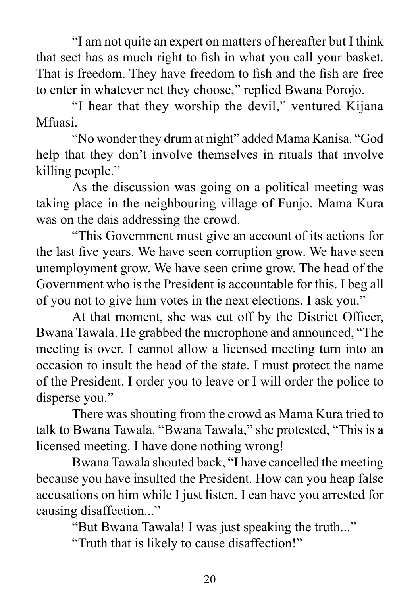"I am not quite an expert on matters of hereafter but I think that sect has as much right to fish in what you call your basket. That is freedom. They have freedom to fish and the fish are free to enter in whatever net they choose," replied Bwana Porojo.

"I hear that they worship the devil," ventured Kijana Mfuasi.

"No wonder they drum at night" added Mama Kanisa. "God help that they don't involve themselves in rituals that involve killing people."

As the discussion was going on a political meeting was taking place in the neighbouring village of Funjo. Mama Kura was on the dais addressing the crowd.

"This Government must give an account of its actions for the last five years. We have seen corruption grow. We have seen unemployment grow. We have seen crime grow. The head of the Government who is the President is accountable for this. I beg all of you not to give him votes in the next elections. I ask you."

At that moment, she was cut off by the District Officer, Bwana Tawala. He grabbed the microphone and announced, "The meeting is over. I cannot allow a licensed meeting turn into an occasion to insult the head of the state. I must protect the name of the President. I order you to leave or I will order the police to disperse you."

There was shouting from the crowd as Mama Kura tried to talk to Bwana Tawala. "Bwana Tawala," she protested, "This is a licensed meeting. I have done nothing wrong!

Bwana Tawala shouted back, "I have cancelled the meeting because you have insulted the President. How can you heap false accusations on him while I just listen. I can have you arrested for causing disaffection..."

"But Bwana Tawala! I was just speaking the truth..."

"Truth that is likely to cause disaffection!"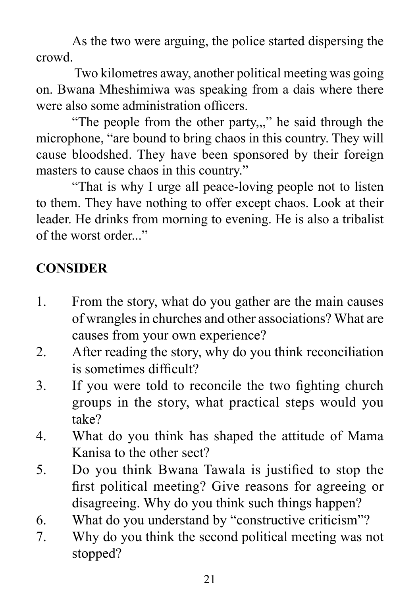As the two were arguing, the police started dispersing the crowd.

 Two kilometres away, another political meeting was going on. Bwana Mheshimiwa was speaking from a dais where there were also some administration officers.

"The people from the other party,,," he said through the microphone, "are bound to bring chaos in this country. They will cause bloodshed. They have been sponsored by their foreign masters to cause chaos in this country."

"That is why I urge all peace-loving people not to listen to them. They have nothing to offer except chaos. Look at their leader. He drinks from morning to evening. He is also a tribalist of the worst order..."

# **CONSIDER**

- 1. From the story, what do you gather are the main causes of wrangles in churches and other associations? What are causes from your own experience?
- 2. After reading the story, why do you think reconciliation is sometimes difficult?
- 3. If you were told to reconcile the two fighting church groups in the story, what practical steps would you take?
- 4. What do you think has shaped the attitude of Mama Kanisa to the other sect?
- 5. Do you think Bwana Tawala is justified to stop the first political meeting? Give reasons for agreeing or disagreeing. Why do you think such things happen?
- 6. What do you understand by "constructive criticism"?
- 7. Why do you think the second political meeting was not stopped?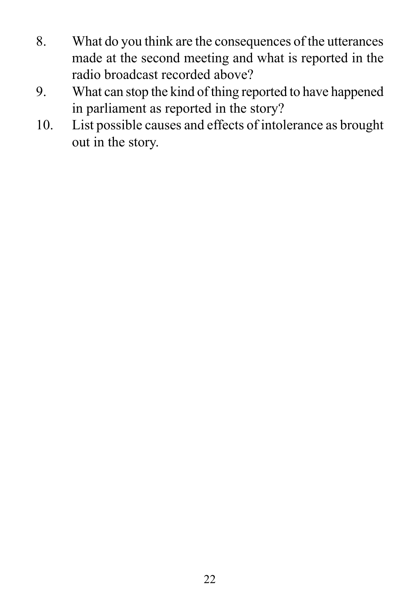- 8. What do you think are the consequences of the utterances made at the second meeting and what is reported in the radio broadcast recorded above?
- 9. What can stop the kind of thing reported to have happened in parliament as reported in the story?
- 10. List possible causes and effects of intolerance as brought out in the story.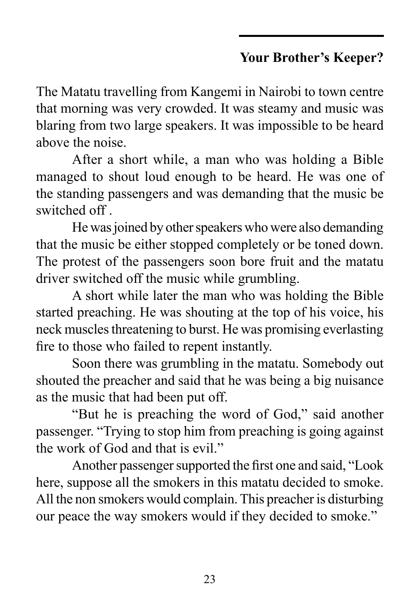# **Your Brother's Keeper?**

The Matatu travelling from Kangemi in Nairobi to town centre that morning was very crowded. It was steamy and music was blaring from two large speakers. It was impossible to be heard above the noise.

After a short while, a man who was holding a Bible managed to shout loud enough to be heard. He was one of the standing passengers and was demanding that the music be switched off .

He was joined by other speakers who were also demanding that the music be either stopped completely or be toned down. The protest of the passengers soon bore fruit and the matatu driver switched off the music while grumbling.

A short while later the man who was holding the Bible started preaching. He was shouting at the top of his voice, his neck muscles threatening to burst. He was promising everlasting fire to those who failed to repent instantly.

Soon there was grumbling in the matatu. Somebody out shouted the preacher and said that he was being a big nuisance as the music that had been put off.

"But he is preaching the word of God," said another passenger. "Trying to stop him from preaching is going against the work of God and that is evil."

Another passenger supported the first one and said, "Look here, suppose all the smokers in this matatu decided to smoke. All the non smokers would complain. This preacher is disturbing our peace the way smokers would if they decided to smoke."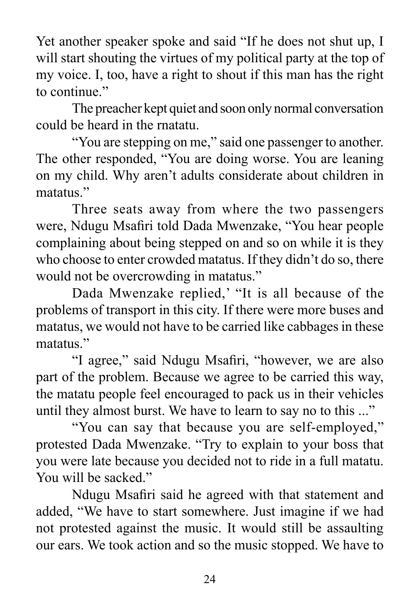Yet another speaker spoke and said "If he does not shut up, I will start shouting the virtues of my political party at the top of my voice. I, too, have a right to shout if this man has the right to continue."

The preacher kept quiet and soon only normal conversation could be heard in the rnatatu.

"You are stepping on me," said one passenger to another. The other responded, "You are doing worse. You are leaning on my child. Why aren't adults considerate about children in matatus."

Three seats away from where the two passengers were, Ndugu Msafiri told Dada Mwenzake, "You hear people complaining about being stepped on and so on while it is they who choose to enter crowded matatus. If they didn't do so, there would not be overcrowding in matatus."

Dada Mwenzake replied,' "It is all because of the problems of transport in this city. If there were more buses and matatus, we would not have to be carried like cabbages in these matatus<sup>"</sup>

"I agree," said Ndugu Msafiri, "however, we are also part of the problem. Because we agree to be carried this way, the matatu people feel encouraged to pack us in their vehicles until they almost burst. We have to learn to say no to this ..."

"You can say that because you are self-employed," protested Dada Mwenzake. "Try to explain to your boss that you were late because you decided not to ride in a full matatu. You will be sacked."

Ndugu Msafiri said he agreed with that statement and added, "We have to start somewhere. Just imagine if we had not protested against the music. It would still be assaulting our ears. We took action and so the music stopped. We have to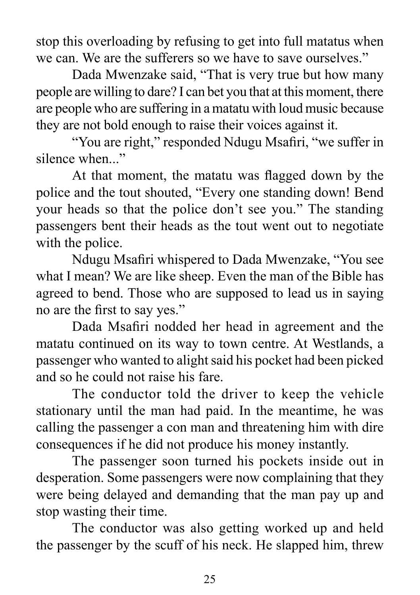stop this overloading by refusing to get into full matatus when we can. We are the sufferers so we have to save ourselves."

Dada Mwenzake said, "That is very true but how many people are willing to dare? I can bet you that at this moment, there are people who are suffering in a matatu with loud music because they are not bold enough to raise their voices against it.

"You are right," responded Ndugu Msafiri, "we suffer in silence when..."

At that moment, the matatu was flagged down by the police and the tout shouted, "Every one standing down! Bend your heads so that the police don't see you." The standing passengers bent their heads as the tout went out to negotiate with the police.

Ndugu Msafiri whispered to Dada Mwenzake, "You see what I mean? We are like sheep. Even the man of the Bible has agreed to bend. Those who are supposed to lead us in saying no are the first to say yes."

Dada Msafiri nodded her head in agreement and the matatu continued on its way to town centre. At Westlands, a passenger who wanted to alight said his pocket had been picked and so he could not raise his fare.

The conductor told the driver to keep the vehicle stationary until the man had paid. In the meantime, he was calling the passenger a con man and threatening him with dire consequences if he did not produce his money instantly.

The passenger soon turned his pockets inside out in desperation. Some passengers were now complaining that they were being delayed and demanding that the man pay up and stop wasting their time.

The conductor was also getting worked up and held the passenger by the scuff of his neck. He slapped him, threw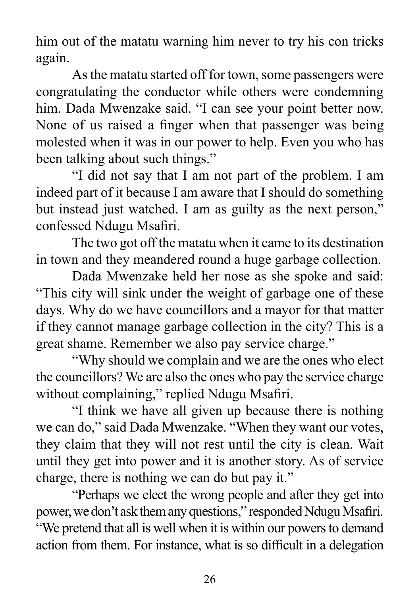him out of the matatu warning him never to try his con tricks again.

As the matatu started off for town, some passengers were congratulating the conductor while others were condemning him. Dada Mwenzake said. "I can see your point better now. None of us raised a finger when that passenger was being molested when it was in our power to help. Even you who has been talking about such things."

"I did not say that I am not part of the problem. I am indeed part of it because I am aware that I should do something but instead just watched. I am as guilty as the next person," confessed Ndugu Msafiri.

The two got off the matatu when it came to its destination in town and they meandered round a huge garbage collection.

Dada Mwenzake held her nose as she spoke and said: "This city will sink under the weight of garbage one of these days. Why do we have councillors and a mayor for that matter if they cannot manage garbage collection in the city? This is a great shame. Remember we also pay service charge."

"Why should we complain and we are the ones who elect the councillors? We are also the ones who pay the service charge without complaining," replied Ndugu Msafiri.

"I think we have all given up because there is nothing we can do," said Dada Mwenzake. "When they want our votes, they claim that they will not rest until the city is clean. Wait until they get into power and it is another story. As of service charge, there is nothing we can do but pay it."

"Perhaps we elect the wrong people and after they get into power, we don't ask them any questions," responded Ndugu Msafiri. "We pretend that all is well when it is within our powers to demand action from them. For instance, what is so difficult in a delegation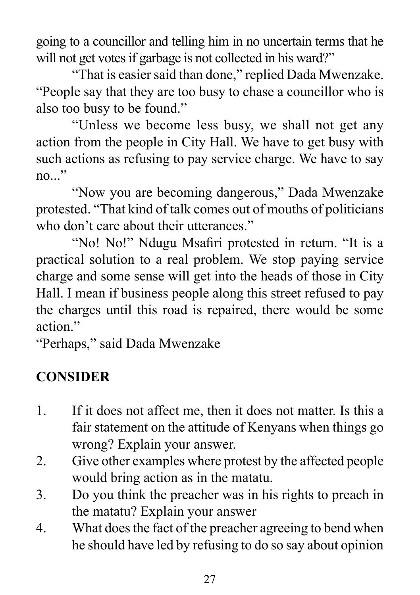going to a councillor and telling him in no uncertain terms that he will not get votes if garbage is not collected in his ward?"

"That is easier said than done," replied Dada Mwenzake. "People say that they are too busy to chase a councillor who is also too busy to be found."

"Unless we become less busy, we shall not get any action from the people in City Hall. We have to get busy with such actions as refusing to pay service charge. We have to say no..."

"Now you are becoming dangerous," Dada Mwenzake protested. "That kind of talk comes out of mouths of politicians who don't care about their utterances."

"No! No!" Ndugu Msafiri protested in return. "It is a practical solution to a real problem. We stop paying service charge and some sense will get into the heads of those in City Hall. I mean if business people along this street refused to pay the charges until this road is repaired, there would be some action"

"Perhaps," said Dada Mwenzake

# **CONSIDER**

- 1. If it does not affect me, then it does not matter. Is this a fair statement on the attitude of Kenyans when things go wrong? Explain your answer.
- 2. Give other examples where protest by the affected people would bring action as in the matatu.
- 3. Do you think the preacher was in his rights to preach in the matatu? Explain your answer
- 4. What does the fact of the preacher agreeing to bend when he should have led by refusing to do so say about opinion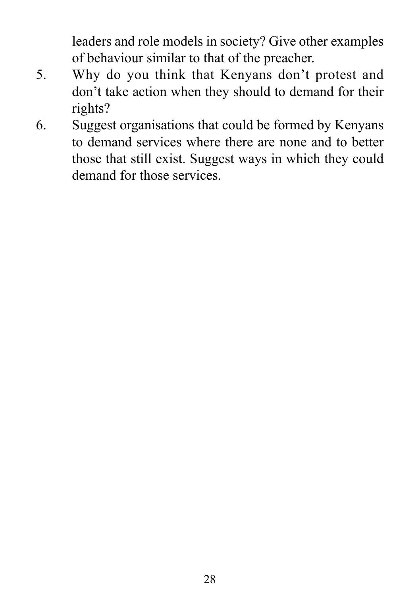leaders and role models in society? Give other examples of behaviour similar to that of the preacher.

- 5. Why do you think that Kenyans don't protest and don't take action when they should to demand for their rights?
- 6. Suggest organisations that could be formed by Kenyans to demand services where there are none and to better those that still exist. Suggest ways in which they could demand for those services.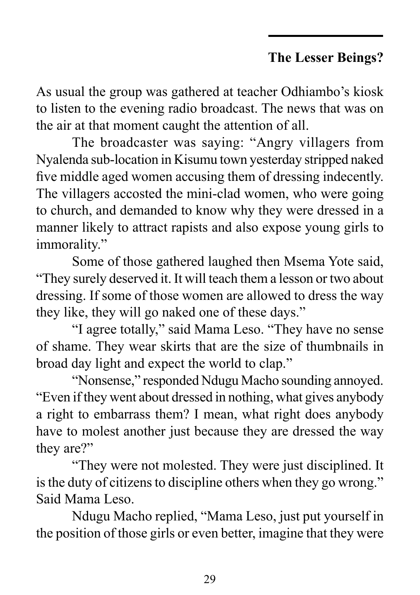## **The Lesser Beings?**

As usual the group was gathered at teacher Odhiambo's kiosk to listen to the evening radio broadcast. The news that was on the air at that moment caught the attention of all.

The broadcaster was saying: "Angry villagers from Nyalenda sub-location in Kisumu town yesterday stripped naked five middle aged women accusing them of dressing indecently. The villagers accosted the mini-clad women, who were going to church, and demanded to know why they were dressed in a manner likely to attract rapists and also expose young girls to immorality."

Some of those gathered laughed then Msema Yote said, "They surely deserved it. It will teach them a lesson or two about dressing. If some of those women are allowed to dress the way they like, they will go naked one of these days."

"I agree totally," said Mama Leso. "They have no sense of shame. They wear skirts that are the size of thumbnails in broad day light and expect the world to clap."

"Nonsense," responded Ndugu Macho sounding annoyed. "Even if they went about dressed in nothing, what gives anybody a right to embarrass them? I mean, what right does anybody have to molest another just because they are dressed the way they are?"

"They were not molested. They were just disciplined. It is the duty of citizens to discipline others when they go wrong." Said Mama Leso.

Ndugu Macho replied, "Mama Leso, just put yourself in the position of those girls or even better, imagine that they were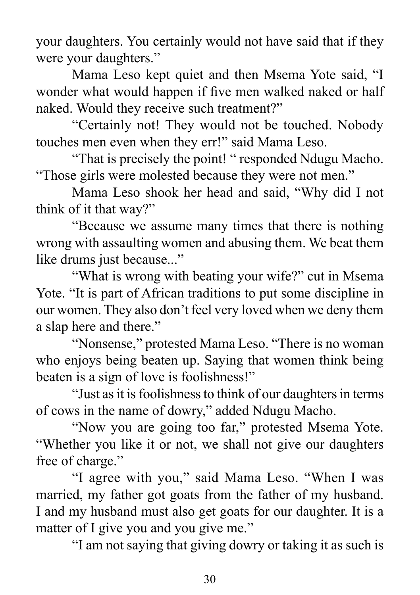your daughters. You certainly would not have said that if they were your daughters."

Mama Leso kept quiet and then Msema Yote said, "I wonder what would happen if five men walked naked or half naked. Would they receive such treatment?"

"Certainly not! They would not be touched. Nobody touches men even when they err!" said Mama Leso.

"That is precisely the point! " responded Ndugu Macho. "Those girls were molested because they were not men."

Mama Leso shook her head and said, "Why did I not think of it that way?"

"Because we assume many times that there is nothing wrong with assaulting women and abusing them. We beat them like drums just because..."

"What is wrong with beating your wife?" cut in Msema Yote. "It is part of African traditions to put some discipline in our women. They also don't feel very loved when we deny them a slap here and there."

"Nonsense," protested Mama Leso. "There is no woman who enjoys being beaten up. Saying that women think being beaten is a sign of love is foolishness!"

"Just as it is foolishness to think of our daughters in terms of cows in the name of dowry," added Ndugu Macho.

"Now you are going too far," protested Msema Yote. "Whether you like it or not, we shall not give our daughters free of charge."

"I agree with you," said Mama Leso. "When I was married, my father got goats from the father of my husband. I and my husband must also get goats for our daughter. It is a matter of I give you and you give me."

"I am not saying that giving dowry or taking it as such is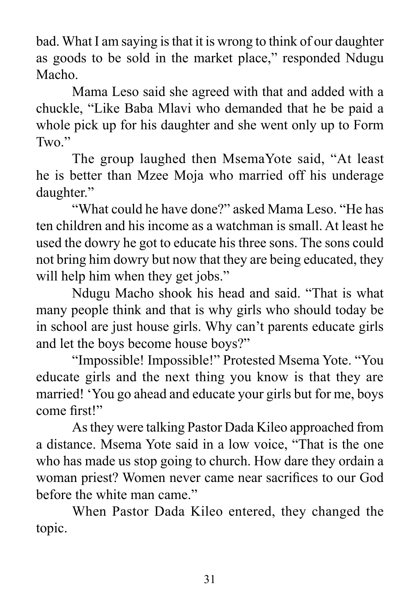bad. What I am saying is that it is wrong to think of our daughter as goods to be sold in the market place," responded Ndugu Macho.

Mama Leso said she agreed with that and added with a chuckle, "Like Baba Mlavi who demanded that he be paid a whole pick up for his daughter and she went only up to Form Two."

The group laughed then MsemaYote said, "At least he is better than Mzee Moja who married off his underage daughter."

"What could he have done?" asked Mama Leso. "He has ten children and his income as a watchman is small. At least he used the dowry he got to educate his three sons. The sons could not bring him dowry but now that they are being educated, they will help him when they get jobs."

Ndugu Macho shook his head and said. "That is what many people think and that is why girls who should today be in school are just house girls. Why can't parents educate girls and let the boys become house boys?"

"Impossible! Impossible!" Protested Msema Yote. "You educate girls and the next thing you know is that they are married! 'You go ahead and educate your girls but for me, boys come first!"

As they were talking Pastor Dada Kileo approached from a distance. Msema Yote said in a low voice, "That is the one who has made us stop going to church. How dare they ordain a woman priest? Women never came near sacrifices to our God before the white man came."

When Pastor Dada Kileo entered, they changed the topic.